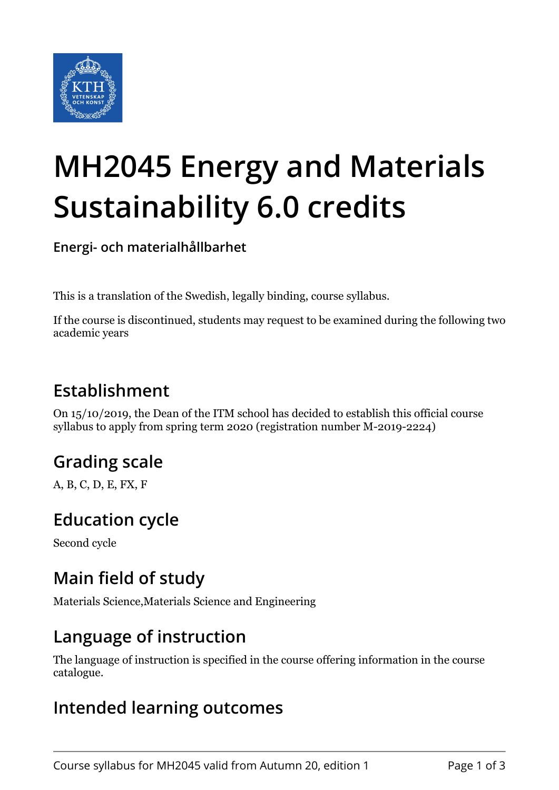

# **MH2045 Energy and Materials Sustainability 6.0 credits**

**Energi- och materialhållbarhet**

This is a translation of the Swedish, legally binding, course syllabus.

If the course is discontinued, students may request to be examined during the following two academic years

# **Establishment**

On 15/10/2019, the Dean of the ITM school has decided to establish this official course syllabus to apply from spring term 2020 (registration number M-2019-2224)

# **Grading scale**

A, B, C, D, E, FX, F

# **Education cycle**

Second cycle

# **Main field of study**

Materials Science,Materials Science and Engineering

#### **Language of instruction**

The language of instruction is specified in the course offering information in the course catalogue.

#### **Intended learning outcomes**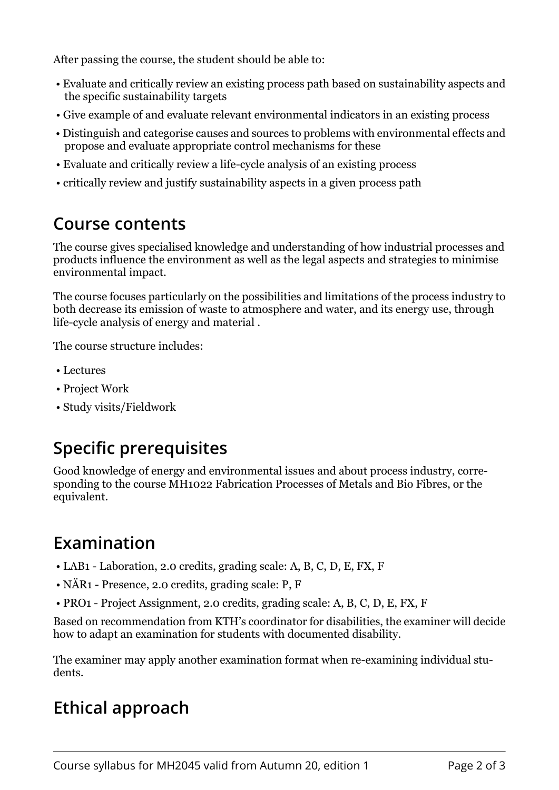After passing the course, the student should be able to:

- Evaluate and critically review an existing process path based on sustainability aspects and the specific sustainability targets
- Give example of and evaluate relevant environmental indicators in an existing process
- Distinguish and categorise causes and sources to problems with environmental effects and propose and evaluate appropriate control mechanisms for these
- Evaluate and critically review a life-cycle analysis of an existing process
- critically review and justify sustainability aspects in a given process path

#### **Course contents**

The course gives specialised knowledge and understanding of how industrial processes and products influence the environment as well as the legal aspects and strategies to minimise environmental impact.

The course focuses particularly on the possibilities and limitations of the process industry to both decrease its emission of waste to atmosphere and water, and its energy use, through life-cycle analysis of energy and material .

The course structure includes:

- Lectures
- Project Work
- Study visits/Fieldwork

# **Specific prerequisites**

Good knowledge of energy and environmental issues and about process industry, corresponding to the course MH1022 Fabrication Processes of Metals and Bio Fibres, or the equivalent.

# **Examination**

- LAB1 Laboration, 2.0 credits, grading scale: A, B, C, D, E, FX, F
- NÄR1 Presence, 2.0 credits, grading scale: P, F
- PRO1 Project Assignment, 2.0 credits, grading scale: A, B, C, D, E, FX, F

Based on recommendation from KTH's coordinator for disabilities, the examiner will decide how to adapt an examination for students with documented disability.

The examiner may apply another examination format when re-examining individual students.

# **Ethical approach**